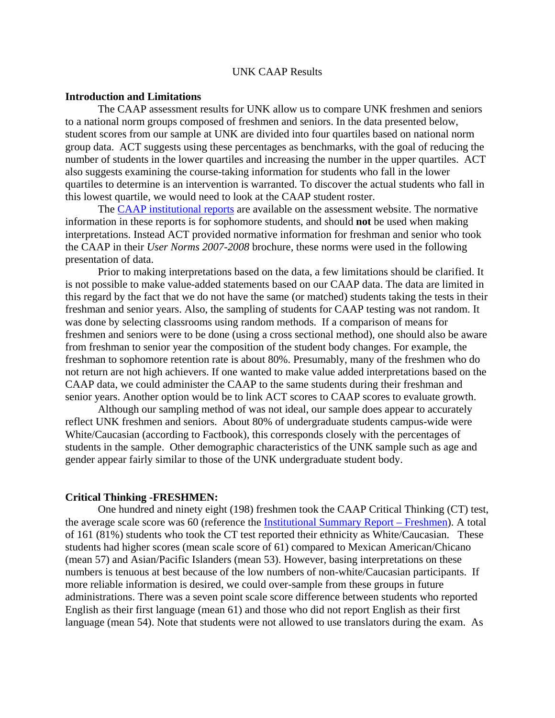### UNK CAAP Results

#### **Introduction and Limitations**

The CAAP assessment results for UNK allow us to compare UNK freshmen and seniors to a national norm groups composed of freshmen and seniors. In the data presented below, student scores from our sample at UNK are divided into four quartiles based on national norm group data. ACT suggests using these percentages as benchmarks, with the goal of reducing the number of students in the lower quartiles and increasing the number in the upper quartiles. ACT also suggests examining the course-taking information for students who fall in the lower quartiles to determine is an intervention is warranted. To discover the actual students who fall in this lowest quartile, we would need to look at the CAAP student roster.

The CAAP institutional reports are available on the assessment website. The normative information in these reports is for sophomore students, and should **not** be used when making interpretations. Instead ACT provided normative information for freshman and senior who took the CAAP in their *User Norms 2007-2008* brochure, these norms were used in the following presentation of data.

Prior to making interpretations based on the data, a few limitations should be clarified. It is not possible to make value-added statements based on our CAAP data. The data are limited in this regard by the fact that we do not have the same (or matched) students taking the tests in their freshman and senior years. Also, the sampling of students for CAAP testing was not random. It was done by selecting classrooms using random methods. If a comparison of means for freshmen and seniors were to be done (using a cross sectional method), one should also be aware from freshman to senior year the composition of the student body changes. For example, the freshman to sophomore retention rate is about 80%. Presumably, many of the freshmen who do not return are not high achievers. If one wanted to make value added interpretations based on the CAAP data, we could administer the CAAP to the same students during their freshman and senior years. Another option would be to link ACT scores to CAAP scores to evaluate growth.

Although our sampling method of was not ideal, our sample does appear to accurately reflect UNK freshmen and seniors. About 80% of undergraduate students campus-wide were White/Caucasian (according to Factbook), this corresponds closely with the percentages of students in the sample. Other demographic characteristics of the UNK sample such as age and gender appear fairly similar to those of the UNK undergraduate student body.

#### **Critical Thinking -FRESHMEN:**

One hundred and ninety eight (198) freshmen took the CAAP Critical Thinking (CT) test, the average scale score was 60 (reference the **Institutional Summary Report** – Freshmen). A total of 161 (81%) students who took the CT test reported their ethnicity as White/Caucasian. These students had higher scores (mean scale score of 61) compared to Mexican American/Chicano (mean 57) and Asian/Pacific Islanders (mean 53). However, basing interpretations on these numbers is tenuous at best because of the low numbers of non-white/Caucasian participants. If more reliable information is desired, we could over-sample from these groups in future administrations. There was a seven point scale score difference between students who reported English as their first language (mean 61) and those who did not report English as their first language (mean 54). Note that students were not allowed to use translators during the exam. As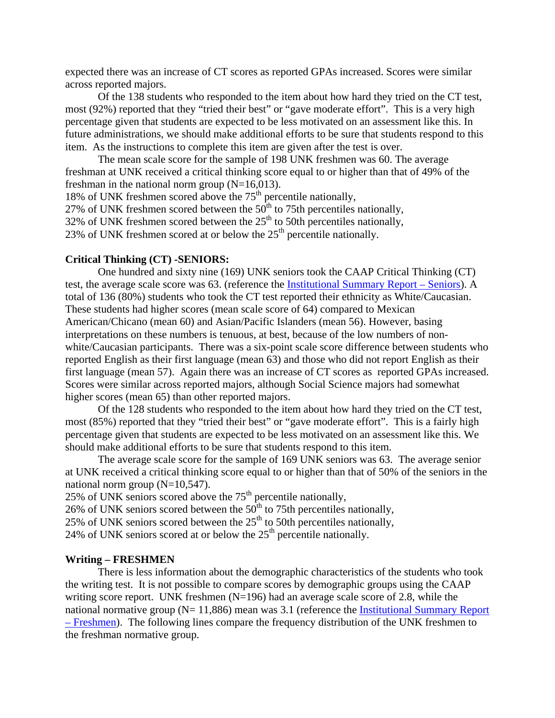expected there was an increase of CT scores as reported GPAs increased. Scores were similar across reported majors.

Of the 138 students who responded to the item about how hard they tried on the CT test, most (92%) reported that they "tried their best" or "gave moderate effort". This is a very high percentage given that students are expected to be less motivated on an assessment like this. In future administrations, we should make additional efforts to be sure that students respond to this item. As the instructions to complete this item are given after the test is over.

The mean scale score for the sample of 198 UNK freshmen was 60. The average freshman at UNK received a critical thinking score equal to or higher than that of 49% of the freshman in the national norm group  $(N=16,013)$ .

18% of UNK freshmen scored above the 75<sup>th</sup> percentile nationally,

27% of UNK freshmen scored between the  $50<sup>th</sup>$  to 75th percentiles nationally,

 $32\%$  of UNK freshmen scored between the  $25<sup>th</sup>$  to 50th percentiles nationally,

23% of UNK freshmen scored at or below the  $25<sup>th</sup>$  percentile nationally.

## **Critical Thinking (CT) -SENIORS:**

One hundred and sixty nine (169) UNK seniors took the CAAP Critical Thinking (CT) test, the average scale score was 63. (reference the Institutional Summary Report – Seniors). A total of 136 (80%) students who took the CT test reported their ethnicity as White/Caucasian. These students had higher scores (mean scale score of 64) compared to Mexican American/Chicano (mean 60) and Asian/Pacific Islanders (mean 56). However, basing interpretations on these numbers is tenuous, at best, because of the low numbers of nonwhite/Caucasian participants. There was a six-point scale score difference between students who reported English as their first language (mean 63) and those who did not report English as their first language (mean 57). Again there was an increase of CT scores as reported GPAs increased. Scores were similar across reported majors, although Social Science majors had somewhat higher scores (mean 65) than other reported majors.

Of the 128 students who responded to the item about how hard they tried on the CT test, most (85%) reported that they "tried their best" or "gave moderate effort". This is a fairly high percentage given that students are expected to be less motivated on an assessment like this. We should make additional efforts to be sure that students respond to this item.

The average scale score for the sample of 169 UNK seniors was 63. The average senior at UNK received a critical thinking score equal to or higher than that of 50% of the seniors in the national norm group  $(N=10,547)$ .

25% of UNK seniors scored above the  $75<sup>th</sup>$  percentile nationally,

26% of UNK seniors scored between the  $50<sup>th</sup>$  to 75th percentiles nationally,

25% of UNK seniors scored between the  $25<sup>th</sup>$  to 50th percentiles nationally,

24% of UNK seniors scored at or below the  $25<sup>th</sup>$  percentile nationally.

## **Writing – FRESHMEN**

There is less information about the demographic characteristics of the students who took the writing test. It is not possible to compare scores by demographic groups using the CAAP writing score report. UNK freshmen (N=196) had an average scale score of 2.8, while the national normative group ( $N= 11,886$ ) mean was 3.1 (reference the Institutional Summary Report – Freshmen). The following lines compare the frequency distribution of the UNK freshmen to the freshman normative group.